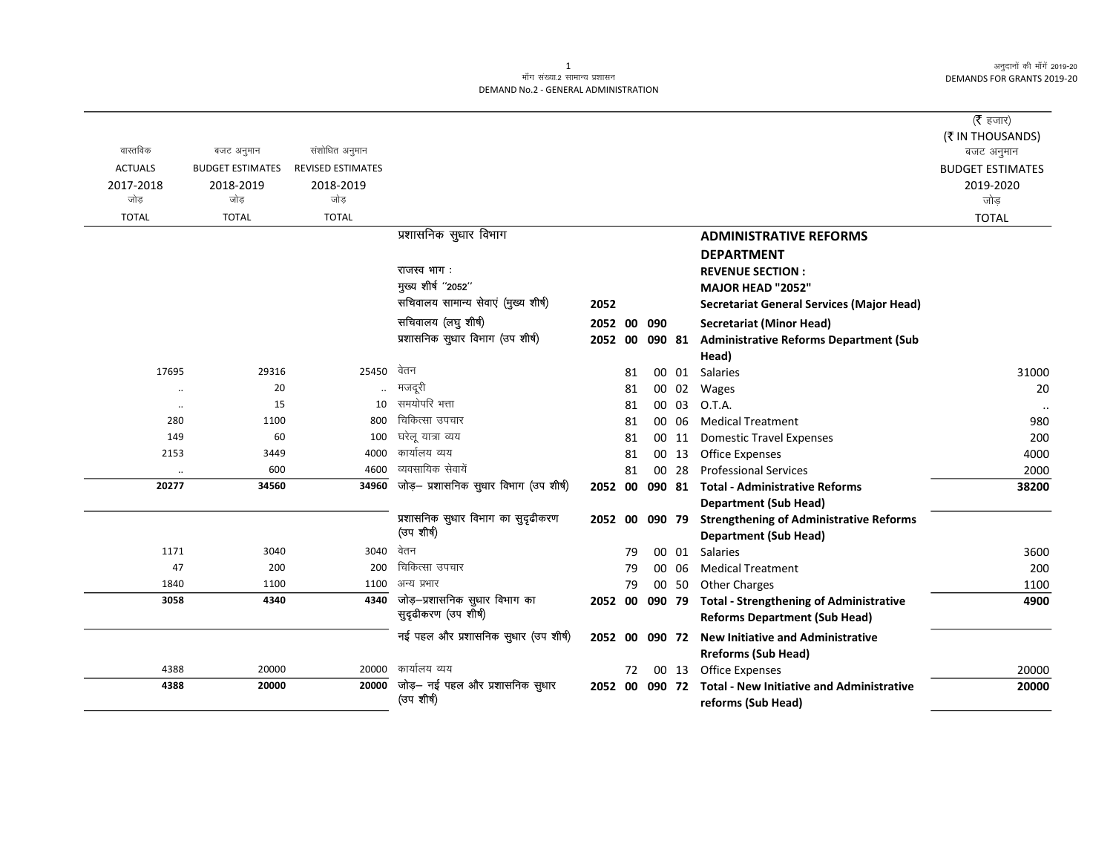अनुदानों की माँगें 2019-20 DEMANDS FOR GRANTS 2019-20

## ्<br>माँग संख्या.2 सामान्य प्रशासन DEMAND No.2 - GENERAL ADMINISTRATION

|                |                         |                          |                                                 |                |    |    |       |                                                          | ( $\bar{\tau}$ हजार)    |
|----------------|-------------------------|--------------------------|-------------------------------------------------|----------------|----|----|-------|----------------------------------------------------------|-------------------------|
|                |                         |                          |                                                 |                |    |    |       |                                                          | (₹ IN THOUSANDS)        |
| वास्तविक       | बजट अनुमान              | संशोधित अनुमान           |                                                 |                |    |    |       |                                                          | बजट अनुमान              |
| <b>ACTUALS</b> | <b>BUDGET ESTIMATES</b> | <b>REVISED ESTIMATES</b> |                                                 |                |    |    |       |                                                          | <b>BUDGET ESTIMATES</b> |
| 2017-2018      | 2018-2019               | 2018-2019                |                                                 |                |    |    |       |                                                          | 2019-2020               |
| जोड            | जोड                     | जोड                      |                                                 |                |    |    |       |                                                          | जोड़                    |
| <b>TOTAL</b>   | <b>TOTAL</b>            | <b>TOTAL</b>             |                                                 |                |    |    |       |                                                          | <b>TOTAL</b>            |
|                |                         |                          | प्रशासनिक सुधार विभाग                           |                |    |    |       | <b>ADMINISTRATIVE REFORMS</b>                            |                         |
|                |                         |                          |                                                 |                |    |    |       | <b>DEPARTMENT</b>                                        |                         |
|                |                         |                          | राजस्व भाग:                                     |                |    |    |       | <b>REVENUE SECTION:</b>                                  |                         |
|                |                         |                          | मुख्य शीर्ष "2052"                              |                |    |    |       | MAJOR HEAD "2052"                                        |                         |
|                |                         |                          | सचिवालय सामान्य सेवाएं (मुख्य शीर्ष)            | 2052           |    |    |       | Secretariat General Services (Major Head)                |                         |
|                |                         |                          | सचिवालय (लघु शीर्ष)                             | 2052 00 090    |    |    |       | <b>Secretariat (Minor Head)</b>                          |                         |
|                |                         |                          | प्रशासनिक सुधार विभाग (उप शीर्ष)                | 2052 00 090 81 |    |    |       | <b>Administrative Reforms Department (Sub</b>            |                         |
|                |                         |                          |                                                 |                |    |    |       | Head)                                                    |                         |
| 17695          | 29316                   | 25450                    | वेतन                                            |                | 81 |    | 00 01 | Salaries                                                 | 31000                   |
| $\ddotsc$      | 20                      |                          | मजदूरी                                          |                | 81 |    | 00 02 | Wages                                                    | 20                      |
| $\cdot\cdot$   | 15                      | 10                       | समयोपरि भत्ता                                   |                | 81 |    | 00 03 | O.T.A.                                                   |                         |
| 280            | 1100                    | 800                      | चिकित्सा उपचार                                  |                | 81 |    | 00 06 | <b>Medical Treatment</b>                                 | 980                     |
| 149            | 60                      | 100                      | घरेलू यात्रा व्यय                               |                | 81 |    | 00 11 | <b>Domestic Travel Expenses</b>                          | 200                     |
| 2153           | 3449                    | 4000                     | कार्यालय व्यय                                   |                | 81 |    | 00 13 | <b>Office Expenses</b>                                   | 4000                    |
| $\ldots$       | 600                     | 4600                     | व्यवसायिक सेवायें                               |                | 81 | 00 | 28    | <b>Professional Services</b>                             | 2000                    |
| 20277          | 34560                   | 34960                    | जोड़- प्रशासनिक सुधार विभाग (उप शीर्ष)          |                |    |    |       | 2052 00 090 81 Total - Administrative Reforms            | 38200                   |
|                |                         |                          |                                                 |                |    |    |       | <b>Department (Sub Head)</b>                             |                         |
|                |                         |                          | प्रशासनिक सुधार विभाग का सुदृढीकरण              | 2052 00 090 79 |    |    |       | <b>Strengthening of Administrative Reforms</b>           |                         |
|                |                         |                          | (उप शीर्ष)                                      |                |    |    |       | <b>Department (Sub Head)</b>                             |                         |
| 1171           | 3040                    | 3040                     | वेतन                                            |                | 79 |    | 00 01 | <b>Salaries</b>                                          | 3600                    |
| 47             | 200                     | 200                      | चिकित्सा उपचार                                  |                | 79 |    | 00 06 | <b>Medical Treatment</b>                                 | 200                     |
| 1840           | 1100                    | 1100                     | अन्य प्रभार                                     |                | 79 |    | 00 50 | <b>Other Charges</b>                                     | 1100                    |
| 3058           | 4340                    |                          | $\overline{4340}$ जोड़-प्रशासनिक सुधार विभाग का | 2052 00 090 79 |    |    |       | <b>Total - Strengthening of Administrative</b>           | 4900                    |
|                |                         |                          | सुदृढीकरण (उप शीर्ष)                            |                |    |    |       | <b>Reforms Department (Sub Head)</b>                     |                         |
|                |                         |                          | नई पहल और प्रशासनिक सुधार (उप शीर्ष)            |                |    |    |       | 2052 00 090 72 New Initiative and Administrative         |                         |
|                |                         |                          |                                                 |                |    |    |       | <b>Rreforms (Sub Head)</b>                               |                         |
| 4388           | 20000                   | 20000                    | कार्यालय व्यय                                   |                | 72 |    |       | 00 13 Office Expenses                                    | 20000                   |
| 4388           | 20000                   | 20000                    | जोड़— नई पहल और प्रशासनिक सुधार                 |                |    |    |       | 2052 00 090 72 Total - New Initiative and Administrative | 20000                   |
|                |                         |                          | (उप शीर्ष)                                      |                |    |    |       | reforms (Sub Head)                                       |                         |

1